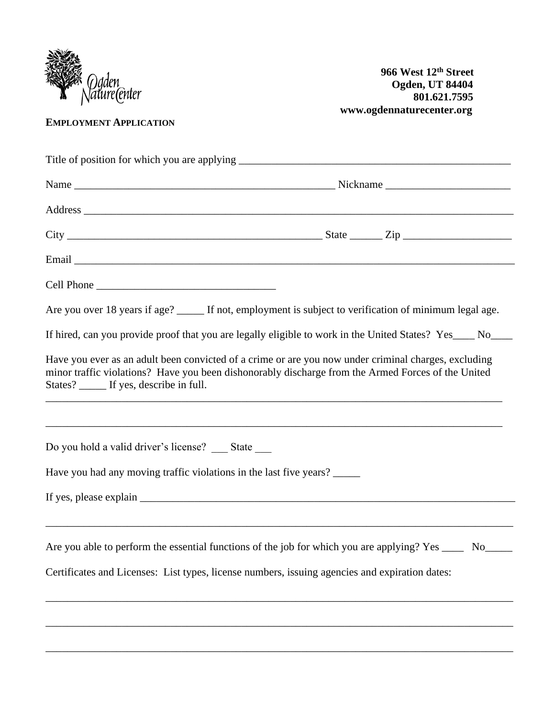

**EMPLOYMENT APPLICATION**

| Cell Phone                                                         |                                                                                                                                                                                                            |
|--------------------------------------------------------------------|------------------------------------------------------------------------------------------------------------------------------------------------------------------------------------------------------------|
|                                                                    | Are you over 18 years if age? _____ If not, employment is subject to verification of minimum legal age.                                                                                                    |
|                                                                    | If hired, can you provide proof that you are legally eligible to work in the United States? Yes___ No___                                                                                                   |
| States? If yes, describe in full.                                  | Have you ever as an adult been convicted of a crime or are you now under criminal charges, excluding<br>minor traffic violations? Have you been dishonorably discharge from the Armed Forces of the United |
| Do you hold a valid driver's license? __ State __                  |                                                                                                                                                                                                            |
|                                                                    |                                                                                                                                                                                                            |
|                                                                    |                                                                                                                                                                                                            |
| Have you had any moving traffic violations in the last five years? |                                                                                                                                                                                                            |
|                                                                    | Are you able to perform the essential functions of the job for which you are applying? Yes                                                                                                                 |
|                                                                    | Certificates and Licenses: List types, license numbers, issuing agencies and expiration dates:                                                                                                             |

\_\_\_\_\_\_\_\_\_\_\_\_\_\_\_\_\_\_\_\_\_\_\_\_\_\_\_\_\_\_\_\_\_\_\_\_\_\_\_\_\_\_\_\_\_\_\_\_\_\_\_\_\_\_\_\_\_\_\_\_\_\_\_\_\_\_\_\_\_\_\_\_\_\_\_\_\_\_\_\_\_\_\_\_\_\_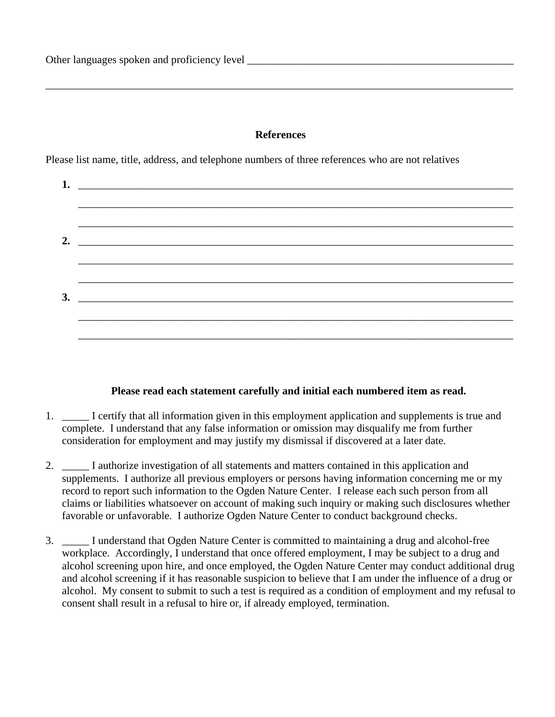## **References**

\_\_\_\_\_\_\_\_\_\_\_\_\_\_\_\_\_\_\_\_\_\_\_\_\_\_\_\_\_\_\_\_\_\_\_\_\_\_\_\_\_\_\_\_\_\_\_\_\_\_\_\_\_\_\_\_\_\_\_\_\_\_\_\_\_\_\_\_\_\_\_\_\_\_\_\_\_\_\_\_\_\_\_\_\_\_

Please list name, title, address, and telephone numbers of three references who are not relatives

| 2. $\qquad \qquad$            |
|-------------------------------|
|                               |
|                               |
| $3.$ $\overline{\phantom{a}}$ |
|                               |
|                               |
|                               |

## **Please read each statement carefully and initial each numbered item as read.**

- 1. \_\_\_\_\_ I certify that all information given in this employment application and supplements is true and complete. I understand that any false information or omission may disqualify me from further consideration for employment and may justify my dismissal if discovered at a later date.
- 2. \_\_\_\_\_ I authorize investigation of all statements and matters contained in this application and supplements. I authorize all previous employers or persons having information concerning me or my record to report such information to the Ogden Nature Center. I release each such person from all claims or liabilities whatsoever on account of making such inquiry or making such disclosures whether favorable or unfavorable. I authorize Ogden Nature Center to conduct background checks.
- 3. \_\_\_\_\_ I understand that Ogden Nature Center is committed to maintaining a drug and alcohol-free workplace. Accordingly, I understand that once offered employment, I may be subject to a drug and alcohol screening upon hire, and once employed, the Ogden Nature Center may conduct additional drug and alcohol screening if it has reasonable suspicion to believe that I am under the influence of a drug or alcohol. My consent to submit to such a test is required as a condition of employment and my refusal to consent shall result in a refusal to hire or, if already employed, termination.